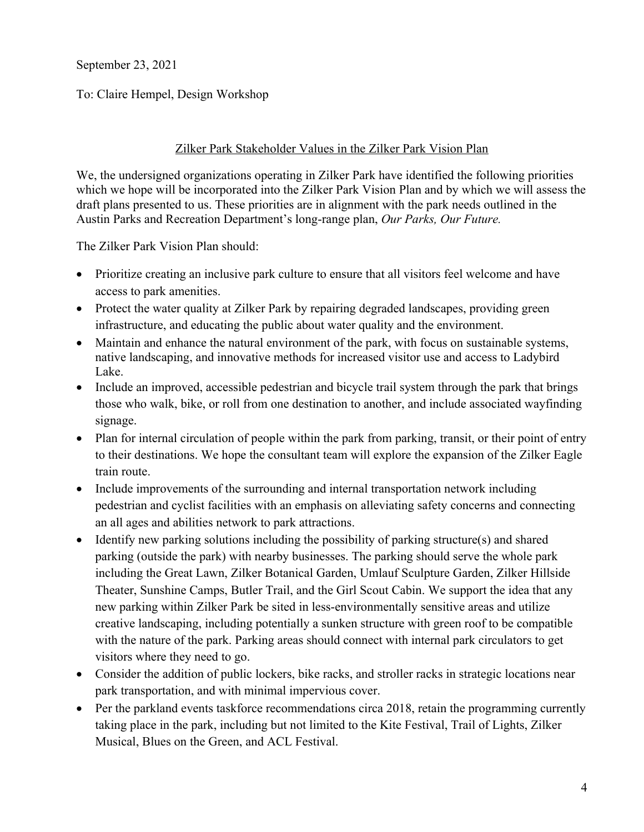September 23, 2021

To: Claire Hempel, Design Workshop

## Zilker Park Stakeholder Values in the Zilker Park Vision Plan

We, the undersigned organizations operating in Zilker Park have identified the following priorities which we hope will be incorporated into the Zilker Park Vision Plan and by which we will assess the draft plans presented to us. These priorities are in alignment with the park needs outlined in the Austin Parks and Recreation Department's long-range plan, *Our Parks, Our Future.*

The Zilker Park Vision Plan should:

- Prioritize creating an inclusive park culture to ensure that all visitors feel welcome and have access to park amenities.
- Protect the water quality at Zilker Park by repairing degraded landscapes, providing green infrastructure, and educating the public about water quality and the environment.
- Maintain and enhance the natural environment of the park, with focus on sustainable systems, native landscaping, and innovative methods for increased visitor use and access to Ladybird Lake.
- Include an improved, accessible pedestrian and bicycle trail system through the park that brings those who walk, bike, or roll from one destination to another, and include associated wayfinding signage.
- Plan for internal circulation of people within the park from parking, transit, or their point of entry to their destinations. We hope the consultant team will explore the expansion of the Zilker Eagle train route.
- Include improvements of the surrounding and internal transportation network including pedestrian and cyclist facilities with an emphasis on alleviating safety concerns and connecting an all ages and abilities network to park attractions.
- Identify new parking solutions including the possibility of parking structure(s) and shared parking (outside the park) with nearby businesses. The parking should serve the whole park including the Great Lawn, Zilker Botanical Garden, Umlauf Sculpture Garden, Zilker Hillside Theater, Sunshine Camps, Butler Trail, and the Girl Scout Cabin. We support the idea that any new parking within Zilker Park be sited in less-environmentally sensitive areas and utilize creative landscaping, including potentially a sunken structure with green roof to be compatible with the nature of the park. Parking areas should connect with internal park circulators to get visitors where they need to go.
- Consider the addition of public lockers, bike racks, and stroller racks in strategic locations near park transportation, and with minimal impervious cover.
- Per the parkland events taskforce recommendations circa 2018, retain the programming currently taking place in the park, including but not limited to the Kite Festival, Trail of Lights, Zilker Musical, Blues on the Green, and ACL Festival.